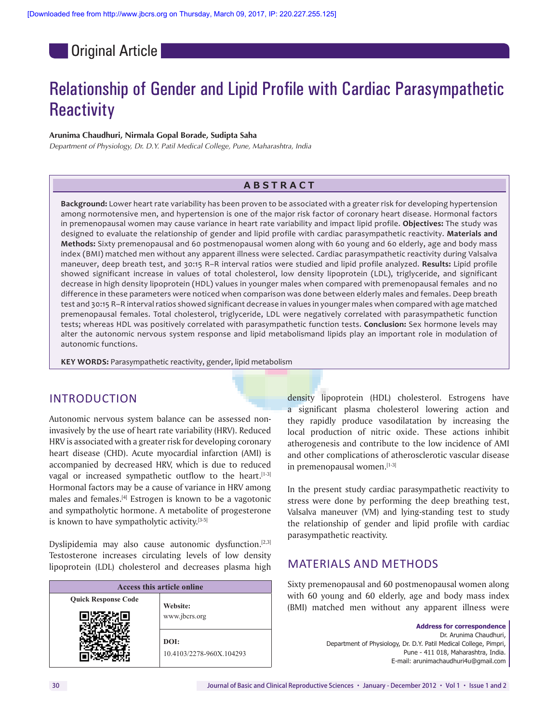**Original Article** 

# Relationship of Gender and Lipid Profile with Cardiac Parasympathetic **Reactivity**

#### **Arunima Chaudhuri, Nirmala Gopal Borade, Sudipta Saha**

*Department of Physiology, Dr. D.Y. Patil Medical College, Pune, Maharashtra, India*

## **Abstr a c t**

**Background:** Lower heart rate variability has been proven to be associated with a greater risk for developing hypertension among normotensive men, and hypertension is one of the major risk factor of coronary heart disease. Hormonal factors in premenopausal women may cause variance in heart rate variability and impact lipid profile. **Objectives:** The study was designed to evaluate the relationship of gender and lipid profile with cardiac parasympathetic reactivity. **Materials and Methods:** Sixty premenopausal and 60 postmenopausal women along with 60 young and 60 elderly, age and body mass index (BMI) matched men without any apparent illness were selected. Cardiac parasympathetic reactivity during Valsalva maneuver, deep breath test, and 30:15 R–R interval ratios were studied and lipid profile analyzed. **Results:** Lipid profile showed significant increase in values of total cholesterol, low density lipoprotein (LDL), triglyceride, and significant decrease in high density lipoprotein (HDL) values in younger males when compared with premenopausal females and no difference in these parameters were noticed when comparison was done between elderly males and females. Deep breath test and 30:15 R–R interval ratios showed significant decrease in values in younger males when compared with age matched premenopausal females. Total cholesterol, triglyceride, LDL were negatively correlated with parasympathetic function tests; whereas HDL was positively correlated with parasympathetic function tests. **Conclusion:** Sex hormone levels may alter the autonomic nervous system response and lipid metabolismand lipids play an important role in modulation of autonomic functions.

**KEY WORDS:** Parasympathetic reactivity, gender, lipid metabolism

# INTRODUCTION

Autonomic nervous system balance can be assessed noninvasively by the use of heart rate variability (HRV). Reduced HRV is associated with a greater risk for developing coronary heart disease (CHD). Acute myocardial infarction (AMI) is accompanied by decreased HRV, which is due to reduced vagal or increased sympathetic outflow to the heart.<sup>[1-3]</sup> Hormonal factors may be a cause of variance in HRV among males and females.[4] Estrogen is known to be a vagotonic and sympatholytic hormone. A metabolite of progesterone is known to have sympatholytic activity.<sup>[3-5]</sup>

Dyslipidemia may also cause autonomic dysfunction.<sup>[2,3]</sup> Testosterone increases circulating levels of low density lipoprotein (LDL) cholesterol and decreases plasma high

| Access this article online |                                  |  |  |
|----------------------------|----------------------------------|--|--|
| <b>Quick Response Code</b> | Website:                         |  |  |
|                            | www.jbcrs.org                    |  |  |
|                            | DOI:<br>10.4103/2278-960X.104293 |  |  |

density lipoprotein (HDL) cholesterol. Estrogens have a significant plasma cholesterol lowering action and they rapidly produce vasodilatation by increasing the local production of nitric oxide. These actions inhibit atherogenesis and contribute to the low incidence of AMI and other complications of atherosclerotic vascular disease in premenopausal women.[1-3]

In the present study cardiac parasympathetic reactivity to stress were done by performing the deep breathing test, Valsalva maneuver (VM) and lying-standing test to study the relationship of gender and lipid profile with cardiac parasympathetic reactivity.

# MATERIALS AND METHODS

Sixty premenopausal and 60 postmenopausal women along with 60 young and 60 elderly, age and body mass index (BMI) matched men without any apparent illness were

> **Address for correspondence**  Dr. Arunima Chaudhuri, Department of Physiology, Dr. D.Y. Patil Medical College, Pimpri, Pune - 411 018, Maharashtra, India. E-mail: arunimachaudhuri4u@gmail.com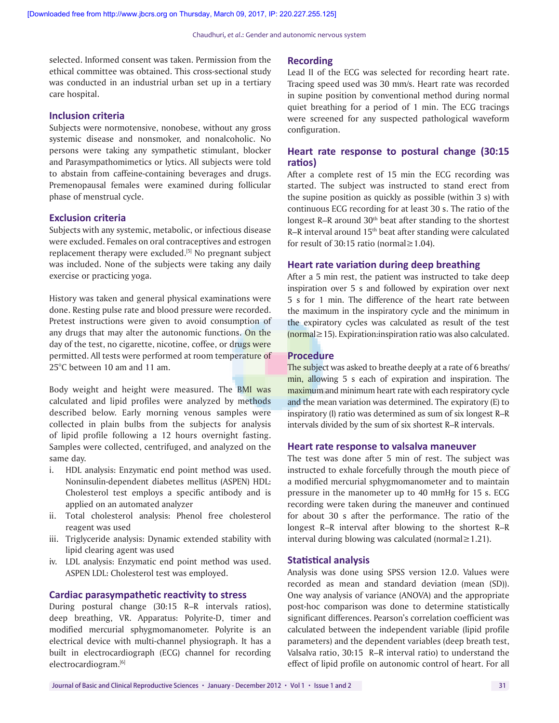selected. Informed consent was taken. Permission from the ethical committee was obtained. This cross-sectional study was conducted in an industrial urban set up in a tertiary care hospital.

#### **Inclusion criteria**

Subjects were normotensive, nonobese, without any gross systemic disease and nonsmoker, and nonalcoholic. No persons were taking any sympathetic stimulant, blocker and Parasympathomimetics or lytics. All subjects were told to abstain from caffeine-containing beverages and drugs. Premenopausal females were examined during follicular phase of menstrual cycle.

#### **Exclusion criteria**

Subjects with any systemic, metabolic, or infectious disease were excluded. Females on oral contraceptives and estrogen replacement therapy were excluded.[5] No pregnant subject was included. None of the subjects were taking any daily exercise or practicing yoga.

History was taken and general physical examinations were done. Resting pulse rate and blood pressure were recorded. Pretest instructions were given to avoid consumption of any drugs that may alter the autonomic functions. On the day of the test, no cigarette, nicotine, coffee, or drugs were permitted. All tests were performed at room temperature of 25°C between 10 am and 11 am.

Body weight and height were measured. The BMI was calculated and lipid profiles were analyzed by methods described below. Early morning venous samples were collected in plain bulbs from the subjects for analysis of lipid profile following a 12 hours overnight fasting. Samples were collected, centrifuged, and analyzed on the same day.

- i. HDL analysis: Enzymatic end point method was used. Noninsulin-dependent diabetes mellitus (ASPEN) HDL: Cholesterol test employs a specific antibody and is applied on an automated analyzer
- ii. Total cholesterol analysis: Phenol free cholesterol reagent was used
- iii. Triglyceride analysis: Dynamic extended stability with lipid clearing agent was used
- iv. LDL analysis: Enzymatic end point method was used. ASPEN LDL: Cholesterol test was employed.

#### **Cardiac parasympathetic reactivity to stress**

During postural change (30:15 R–R intervals ratios), deep breathing, VR. Apparatus: Polyrite-D, timer and modified mercurial sphygmomanometer. Polyrite is an electrical device with multi-channel physiograph. It has a built in electrocardiograph (ECG) channel for recording electrocardiogram.[6]

#### **Recording**

Lead II of the ECG was selected for recording heart rate. Tracing speed used was 30 mm/s. Heart rate was recorded in supine position by conventional method during normal quiet breathing for a period of 1 min. The ECG tracings were screened for any suspected pathological waveform configuration.

#### **Heart rate response to postural change (30:15 ratios)**

After a complete rest of 15 min the ECG recording was started. The subject was instructed to stand erect from the supine position as quickly as possible (within 3 s) with continuous ECG recording for at least 30 s. The ratio of the longest R–R around 30<sup>th</sup> beat after standing to the shortest R–R interval around 15th beat after standing were calculated for result of 30:15 ratio (normal≥1.04).

#### **Heart rate variation during deep breathing**

After a 5 min rest, the patient was instructed to take deep inspiration over 5 s and followed by expiration over next 5 s for 1 min. The difference of the heart rate between the maximum in the inspiratory cycle and the minimum in the expiratory cycles was calculated as result of the test (normal≥15). Expiration:inspiration ratio was also calculated.

#### **Procedure**

The subject was asked to breathe deeply at a rate of 6 breaths/ min, allowing 5 s each of expiration and inspiration. The maximum and minimum heart rate with each respiratory cycle and the mean variation was determined. The expiratory (E) to inspiratory (I) ratio was determined as sum of six longest R–R intervals divided by the sum of six shortest R–R intervals.

#### **Heart rate response to valsalva maneuver**

The test was done after 5 min of rest. The subject was instructed to exhale forcefully through the mouth piece of a modified mercurial sphygmomanometer and to maintain pressure in the manometer up to 40 mmHg for 15 s. ECG recording were taken during the maneuver and continued for about 30 s after the performance. The ratio of the longest R–R interval after blowing to the shortest R–R interval during blowing was calculated (normal≥1.21).

#### **Statistical analysis**

Analysis was done using SPSS version 12.0. Values were recorded as mean and standard deviation (mean (SD)). One way analysis of variance (ANOVA) and the appropriate post-hoc comparison was done to determine statistically significant differences. Pearson's correlation coefficient was calculated between the independent variable (lipid profile parameters) and the dependent variables (deep breath test, Valsalva ratio, 30:15 R–R interval ratio) to understand the effect of lipid profile on autonomic control of heart. For all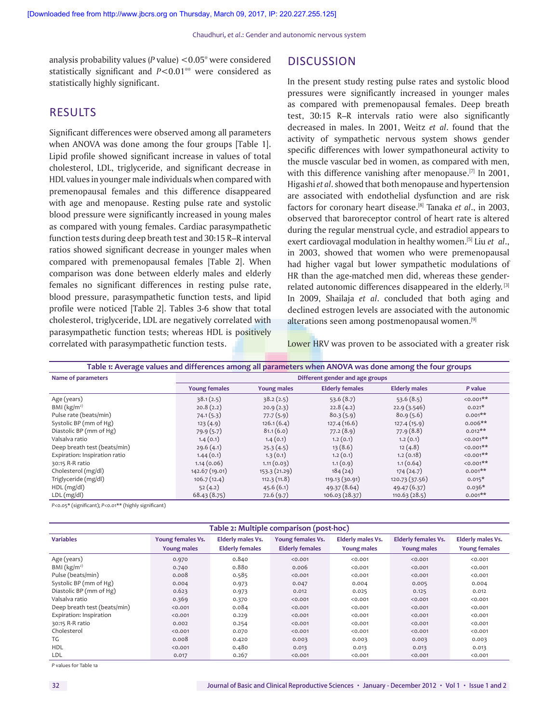analysis probability values (*P* value) <0.05\* were considered statistically significant and *P*<0.01\*\* were considered as statistically highly significant.

# RESULTS

Significant differences were observed among all parameters when ANOVA was done among the four groups [Table 1]. Lipid profile showed significant increase in values of total cholesterol, LDL, triglyceride, and significant decrease in HDL values in younger male individuals when compared with premenopausal females and this difference disappeared with age and menopause. Resting pulse rate and systolic blood pressure were significantly increased in young males as compared with young females. Cardiac parasympathetic function tests during deep breath test and 30:15 R–R interval ratios showed significant decrease in younger males when compared with premenopausal females [Table 2]. When comparison was done between elderly males and elderly females no significant differences in resting pulse rate, blood pressure, parasympathetic function tests, and lipid profile were noticed [Table 2]. Tables 3-6 show that total cholesterol, triglyceride, LDL are negatively correlated with parasympathetic function tests; whereas HDL is positively correlated with parasympathetic function tests.

## **DISCUSSION**

In the present study resting pulse rates and systolic blood pressures were significantly increased in younger males as compared with premenopausal females. Deep breath test, 30:15 R–R intervals ratio were also significantly decreased in males. In 2001, Weitz *et al*. found that the activity of sympathetic nervous system shows gender specific differences with lower sympathoneural activity to the muscle vascular bed in women, as compared with men, with this difference vanishing after menopause.<sup>[7]</sup> In 2001, Higashi *et al*. showed that both menopause and hypertension are associated with endothelial dysfunction and are risk factors for coronary heart disease.[8] Tanaka *et al*., in 2003, observed that baroreceptor control of heart rate is altered during the regular menstrual cycle, and estradiol appears to exert cardiovagal modulation in healthy women.[5] Liu *et al*., in 2003, showed that women who were premenopausal had higher vagal but lower sympathetic modulations of HR than the age-matched men did, whereas these genderrelated autonomic differences disappeared in the elderly. [3] In 2009, Shailaja *et al*. concluded that both aging and declined estrogen levels are associated with the autonomic alterations seen among postmenopausal women.<sup>[9]</sup>

Lower HRV was proven to be associated with a greater risk

| Table 1: Average values and differences among all parameters when ANOVA was done among the four groups |                                 |                    |                        |                      |                 |
|--------------------------------------------------------------------------------------------------------|---------------------------------|--------------------|------------------------|----------------------|-----------------|
| Name of parameters                                                                                     | Different gender and age groups |                    |                        |                      |                 |
|                                                                                                        | <b>Young females</b>            | <b>Young males</b> | <b>Elderly females</b> | <b>Elderly males</b> | P value         |
| Age (years)                                                                                            | 38.1(2.5)                       | 38.2(2.5)          | 53.6(8.7)              | 53.6(8.5)            | $\leq 0.001$ ** |
| BMI $(kg/m2)$                                                                                          | 20.8(2.2)                       | 20.9(2.3)          | 22.8(4.2)              | 22.9(3.546)          | $0.021*$        |
| Pulse rate (beats/min)                                                                                 | 74.1(5.3)                       | 77.7(5.9)          | 80.3(5.9)              | 80.9(5.6)            | $0.001**$       |
| Systolic BP (mm of Hg)                                                                                 | 123(4.9)                        | 126.1(6.4)         | 127.4(16.6)            | 127.4 (15.9)         | $0.006**$       |
| Diastolic BP (mm of Hg)                                                                                | 79.9(5.7)                       | 81.1(6.0)          | 77.2(8.9)              | 77.9(8.8)            | $0.012**$       |
| Valsalva ratio                                                                                         | 1.4(0.1)                        | 1.4(0.1)           | 1.2(0.1)               | 1.2(0.1)             | $\leq 0.001$ ** |
| Deep breath test (beats/min)                                                                           | 29.6(4.1)                       | 25.3(4.5)          | 13(8.6)                | 12(4.8)              | $< 0.001$ **    |
| Expiration: Inspiration ratio                                                                          | 1.44(0.1)                       | 1.3(0.1)           | 1.2(0.1)               | 1.2(0.18)            | $50.001**$      |
| 30:15 R-R ratio                                                                                        | 1.14(0.06)                      | 1.11(0.03)         | 1.1(0.9)               | 1.1(0.64)            | $< 0.001$ **    |
| Cholesterol (mg/dl)                                                                                    | 142.67 (19.01)                  | 153.3(21.29)       | 184(24)                | 174(24.7)            | $0.001**$       |
| Triglyceride (mg/dl)                                                                                   | 106.7(12.4)                     | 112.3(11.8)        | 119.13 (30.91)         | 120.73 (37.56)       | $0.015*$        |
| $HDL$ (mg/dl)                                                                                          | 52(4.2)                         | 45.6(6.1)          | 49.37 (8.64)           | 49.47 (6.37)         | $0.036*$        |
| LDL (mg/dl)                                                                                            | 68.43(8.75)                     | 72.6(9.7)          | 106.03 (28.37)         | 110.63(28.5)         | $0.001**$       |

*P*<0.05\* (significant); *P*<0.01\*\* (highly significant)

| Table 2: Multiple comparison (post-hoc) |                    |                          |                        |                          |                            |                          |
|-----------------------------------------|--------------------|--------------------------|------------------------|--------------------------|----------------------------|--------------------------|
| <b>Variables</b>                        | Young females Vs.  | <b>Elderly males Vs.</b> | Young females Vs.      | <b>Elderly males Vs.</b> | <b>Elderly females Vs.</b> | <b>Elderly males Vs.</b> |
|                                         | <b>Young males</b> | <b>Elderly females</b>   | <b>Elderly females</b> | <b>Young males</b>       | <b>Young males</b>         | <b>Young females</b>     |
| Age (years)                             | 0.970              | 0.840                    | < 0.001                | < 0.001                  | < 0.001                    | < 0.001                  |
| BMI $(kg/m2)$                           | 0.740              | 0.880                    | 0.006                  | < 0.001                  | < 0.001                    | < 0.001                  |
| Pulse (beats/min)                       | 0.008              | 0.585                    | < 0.001                | < 0.001                  | < 0.001                    | < 0.001                  |
| Systolic BP (mm of Hg)                  | 0.004              | 0.973                    | 0.047                  | 0.004                    | 0.005                      | 0.004                    |
| Diastolic BP (mm of Hg)                 | 0.623              | 0.973                    | 0.012                  | 0.025                    | 0.125                      | 0.012                    |
| Valsalva ratio                          | 0.369              | 0.370                    | < 0.001                | < 0.001                  | < 0.001                    | < 0.001                  |
| Deep breath test (beats/min)            | < 0.001            | 0.084                    | < 0.001                | < 0.001                  | < 0.001                    | < 0.001                  |
| Expiration: Inspiration                 | < 0.001            | 0.229                    | < 0.001                | < 0.001                  | < 0.001                    | < 0.001                  |
| 30:15 R-R ratio                         | 0.002              | 0.254                    | < 0.001                | < 0.001                  | < 0.001                    | < 0.001                  |
| Cholesterol                             | < 0.001            | 0.070                    | < 0.001                | < 0.001                  | < 0.001                    | < 0.001                  |
| TG                                      | 0.008              | 0.420                    | 0.003                  | 0.003                    | 0.003                      | 0.003                    |
| <b>HDL</b>                              | < 0.001            | 0.480                    | 0.013                  | 0.013                    | 0.013                      | 0.013                    |
| <b>LDL</b>                              | 0.017              | 0.267                    | < 0.001                | < 0.001                  | < 0.001                    | < 0.001                  |

*P* values for Table 1a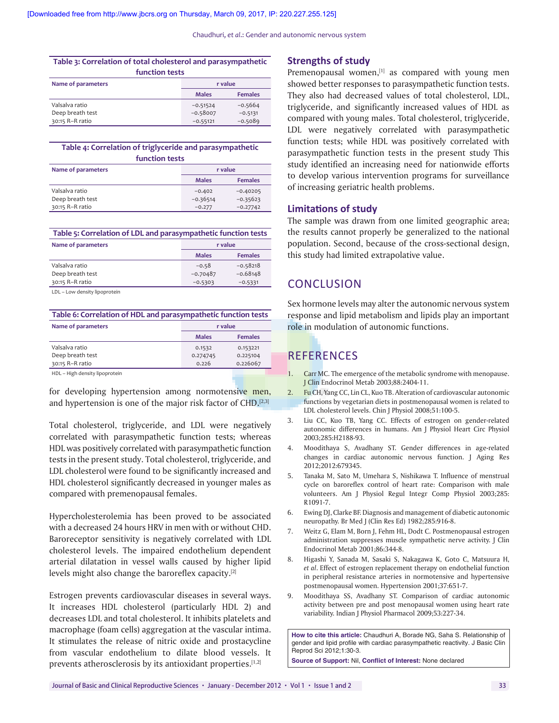Chaudhuri, *et al*.: Gender and autonomic nervous system

**Table 3: Correlation of total cholesterol and parasympathetic** 

| function tests     |              |                |  |
|--------------------|--------------|----------------|--|
| Name of parameters | r value      |                |  |
|                    | <b>Males</b> | <b>Females</b> |  |
| Valsalva ratio     | $-0.51524$   | $-0.5664$      |  |
| Deep breath test   | $-0.58007$   | $-0.5131$      |  |
| 30:15 R-R ratio    | $-0.55121$   | $-0.5089$      |  |

**Table 4: Correlation of triglyceride and parasympathetic function tests**

| Name of parameters | r value      |                |
|--------------------|--------------|----------------|
|                    | <b>Males</b> | <b>Females</b> |
| Valsalva ratio     | $-0.402$     | $-0.40205$     |
| Deep breath test   | $-0.36514$   | $-0.35623$     |
| 30:15 R-R ratio    | $-0.277$     | $-0.27742$     |

**Table 5: Correlation of LDL and parasympathetic function tests**

| Name of parameters | r value      |                |  |
|--------------------|--------------|----------------|--|
|                    | <b>Males</b> | <b>Females</b> |  |
| Valsalva ratio     | $-0.58$      | $-0.58218$     |  |
| Deep breath test   | $-0.70487$   | $-0.68148$     |  |
| 30:15 R-R ratio    | $-0.5303$    | $-0.5331$      |  |
|                    |              |                |  |

LDL – Low density lipoprotein

**Table 6: Correlation of HDL and parasympathetic function tests**

| Name of parameters                | r value      |                |
|-----------------------------------|--------------|----------------|
|                                   | <b>Males</b> | <b>Females</b> |
| Valsalva ratio                    | 0.1532       | 0.153221       |
| Deep breath test                  | 0.274745     | 0.225104       |
| 30:15 R-R ratio                   | 0.226        | 0.226067       |
| Ulieb donaity linopeatojn<br>11N1 |              |                |

HDL – High density lipoprotein

for developing hypertension among normotensive men, and hypertension is one of the major risk factor of CHD.<sup>[2,3]</sup>

Total cholesterol, triglyceride, and LDL were negatively correlated with parasympathetic function tests; whereas HDL was positively correlated with parasympathetic function tests in the present study. Total cholesterol, triglyceride, and LDL cholesterol were found to be significantly increased and HDL cholesterol significantly decreased in younger males as compared with premenopausal females.

Hypercholesterolemia has been proved to be associated with a decreased 24 hours HRV in men with or without CHD. Baroreceptor sensitivity is negatively correlated with LDL cholesterol levels. The impaired endothelium dependent arterial dilatation in vessel walls caused by higher lipid levels might also change the baroreflex capacity.[2]

Estrogen prevents cardiovascular diseases in several ways. It increases HDL cholesterol (particularly HDL 2) and decreases LDL and total cholesterol. It inhibits platelets and macrophage (foam cells) aggregation at the vascular intima. It stimulates the release of nitric oxide and prostacycline from vascular endothelium to dilate blood vessels. It prevents atherosclerosis by its antioxidant properties.<sup>[1,2]</sup>

#### **Strengths of study**

Premenopausal women, $[1]$  as compared with young men showed better responses to parasympathetic function tests. They also had decreased values of total cholesterol, LDL, triglyceride, and significantly increased values of HDL as compared with young males. Total cholesterol, triglyceride, LDL were negatively correlated with parasympathetic function tests; while HDL was positively correlated with parasympathetic function tests in the present study This study identified an increasing need for nationwide efforts to develop various intervention programs for surveillance of increasing geriatric health problems.

#### **Limitations of study**

The sample was drawn from one limited geographic area; the results cannot properly be generalized to the national population. Second, because of the cross-sectional design, this study had limited extrapolative value.

# **CONCLUSION**

Sex hormone levels may alter the autonomic nervous system response and lipid metabolism and lipids play an important role in modulation of autonomic functions.

# **REFERENCES**

- 1. Carr MC. The emergence of the metabolic syndrome with menopause. J Clin Endocrinol Metab 2003;88:2404-11.
- 2. Fu CH, Yang CC, Lin CL, Kuo TB. Alteration of cardiovascular autonomic functions by vegetarian diets in postmenopausal women is related to LDL cholesterol levels. Chin J Physiol 2008;51:100-5.
- 3. Liu CC, Kuo TB, Yang CC. Effects of estrogen on gender-related autonomic differences in humans. Am J Physiol Heart Circ Physiol 2003;285:H2188-93.
- 4. Moodithaya S, Avadhany ST. Gender differences in age-related changes in cardiac autonomic nervous function. J Aging Res 2012;2012:679345.
- 5**.** Tanaka M, Sato M, Umehara S, Nishikawa T. Influence of menstrual cycle on baroreflex control of heart rate: Comparison with male volunteers. Am J Physiol Regul Integr Comp Physiol 2003;285: R1091-7.
- 6. Ewing DJ, Clarke BF. Diagnosis and management of diabetic autonomic neuropathy. Br Med J (Clin Res Ed) 1982;285:916-8.
- 7. Weitz G, Elam M, Born J, Fehm HL, Dodt C. Postmenopausal estrogen administration suppresses muscle sympathetic nerve activity. J Clin Endocrinol Metab 2001;86:344-8.
- 8. Higashi Y, Sanada M, Sasaki S, Nakagawa K, Goto C, Matsuura H, *et al*. Effect of estrogen replacement therapy on endothelial function in peripheral resistance arteries in normotensive and hypertensive postmenopausal women. Hypertension 2001;37:651-7.
- 9. Moodithaya SS, Avadhany ST. Comparison of cardiac autonomic activity between pre and post menopausal women using heart rate variability. Indian J Physiol Pharmacol 2009;53:227-34.

**How to cite this article:** Chaudhuri A, Borade NG, Saha S. Relationship of gender and lipid profile with cardiac parasympathetic reactivity. J Basic Clin Reprod Sci 2012;1:30-3.

**Source of Support:** Nil, **Conflict of Interest:** None declared